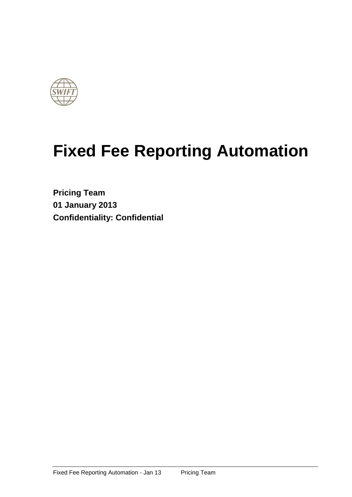

# **Fixed Fee Reporting Automation**

**Pricing Team 01 January 2013 Confidentiality: Confidential**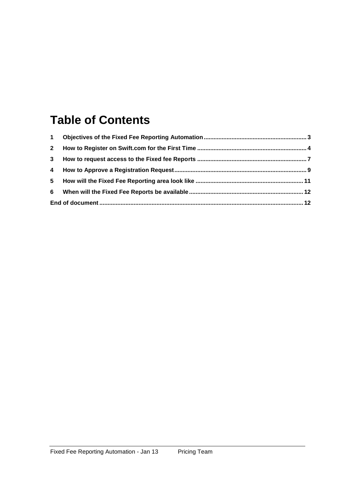# **Table of Contents**

| $\mathbf 1$  |  |
|--------------|--|
| $\mathbf{2}$ |  |
| 3            |  |
|              |  |
| 5            |  |
| 6            |  |
|              |  |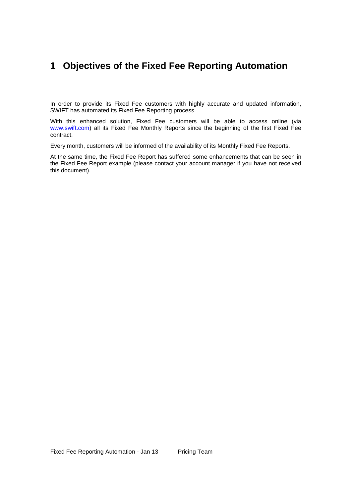### **1 Objectives of the Fixed Fee Reporting Automation**

In order to provide its Fixed Fee customers with highly accurate and updated information, SWIFT has automated its Fixed Fee Reporting process.

With this enhanced solution, Fixed Fee customers will be able to access online (via [www.swift.com\)](http://www.swift.com/) all its Fixed Fee Monthly Reports since the beginning of the first Fixed Fee contract.

Every month, customers will be informed of the availability of its Monthly Fixed Fee Reports.

At the same time, the Fixed Fee Report has suffered some enhancements that can be seen in the Fixed Fee Report example (please contact your account manager if you have not received this document).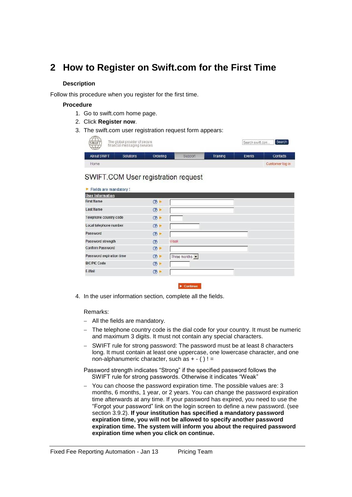### **2 How to Register on Swift.com for the First Time**

#### **Description**

Follow this procedure when you register for the first time.

#### **Procedure**

- 1. Go to swift.com home page.
- 2. Click **Register now**.
- 3. The swift.com user registration request form appears:

| $\sim$ $\sim$<br>The global provider of secure<br><b>SWIFT</b><br>financial messaging services<br>ママープフ | Search swift.com | Search   |         |          |        |                 |
|---------------------------------------------------------------------------------------------------------|------------------|----------|---------|----------|--------|-----------------|
| <b>About SWIFT</b>                                                                                      | <b>Solutions</b> | Ordering | Support | Training | Events | Contacts        |
| Home                                                                                                    |                  |          |         |          |        | Customer log in |

### SWIFT.COM User registration request

| <b>User Information</b>  |               |                |
|--------------------------|---------------|----------------|
| <b>First Name</b>        | (2)           |                |
| <b>Last Name</b>         | (2)           |                |
| Telephone country code   | (2)           |                |
| Local telephone number   | (2)           |                |
| Password                 | (2)           |                |
| Password strength        | $\circled{?}$ | Weak           |
| <b>Confirm Password</b>  | (2)           |                |
| Password expiration time | (2)           | Three months v |
| <b>BIC/PIC Code</b>      | (2)           |                |
| E-Mail                   | (2)           |                |

 $\blacktriangleright$  Continue

4. In the user information section, complete all the fields.

#### Remarks:

- All the fields are mandatory.
- The telephone country code is the dial code for your country. It must be numeric and maximum 3 digits. It must not contain any special characters.
- SWIFT rule for strong password: The password must be at least 8 characters long. It must contain at least one uppercase, one lowercase character, and one non-alphanumeric character, such as  $+ - ( )! =$

Password strength indicates "Strong" if the specified password follows the SWIFT rule for strong passwords. Otherwise it indicates "Weak"

 You can choose the password expiration time. The possible values are: 3 months, 6 months, 1 year, or 2 years. You can change the password expiration time afterwards at any time. If your password has expired, you need to use the "Forgot your password" link on the login screen to define a new password. (see section 3.9.2). **If your institution has specified a mandatory password expiration time, you will not be allowed to specify another password expiration time. The system will inform you about the required password expiration time when you click on continue.**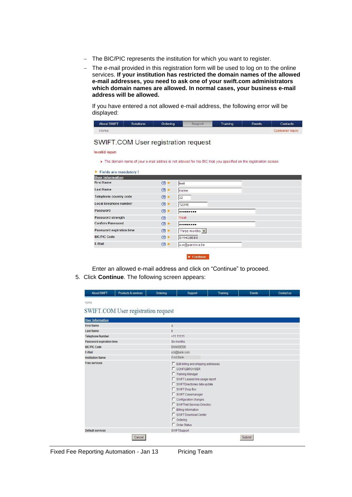- The BIC/PIC represents the institution for which you want to register.
- The e-mail provided in this registration form will be used to log on to the online services. **If your institution has restricted the domain names of the allowed e-mail addresses, you need to ask one of your swift.com administrators which domain names are allowed. In normal cases, your business e-mail address will be allowed.**

If you have entered a not allowed e-mail address, the following error will be displayed:

| <b>About SWIFT</b> | Solutions | Ordering | Support | <b>Training</b> | Events | <b>Contacts</b> |
|--------------------|-----------|----------|---------|-----------------|--------|-----------------|
| Home               |           |          |         |                 |        | Customer log in |

### SWIFT.COM User registration request

**Invalid input:** 

. The domain name of your e-mail addres is not allowed for the BIC that you specified on the registration screen.

| Fields are mandatory!    |                |                        |
|--------------------------|----------------|------------------------|
| <b>User Information</b>  |                |                        |
| <b>First Name</b>        | (2)            | test                   |
| <b>Last Name</b>         | (2)            | name                   |
| Telephone country code   | $\circledcirc$ | 32                     |
| Local telephone number   | (2)            | 12345                  |
| Password                 | $\circ$        |                        |
| Password strength        | $\circled{?}$  | Weak                   |
| <b>Confirm Password</b>  | $\circled{?}$  |                        |
| Password expiration time | (2)            | Three months v         |
| <b>BIC/PIC Code</b>      | (2)            | SWHQBEBB               |
| E-Mail                   | (2)            | a.w@pandora.be         |
|                          |                | <b>The programmers</b> |

Enter an allowed e-mail address and click on "Continue" to proceed.

5. Click **Continue**. The following screen appears:

| <b>About SWIFT</b>       | <b>Products &amp; services</b>      | Ordering     | Support                                                                                                                                                                                                                                                                                                                                                                                      | Training | Events | <b>Contact us</b> |
|--------------------------|-------------------------------------|--------------|----------------------------------------------------------------------------------------------------------------------------------------------------------------------------------------------------------------------------------------------------------------------------------------------------------------------------------------------------------------------------------------------|----------|--------|-------------------|
| Home                     |                                     |              |                                                                                                                                                                                                                                                                                                                                                                                              |          |        |                   |
|                          | SWIFT.COM User registration request |              |                                                                                                                                                                                                                                                                                                                                                                                              |          |        |                   |
| <b>User Information</b>  |                                     |              |                                                                                                                                                                                                                                                                                                                                                                                              |          |        |                   |
| <b>First Name</b>        |                                     | $\mathbf{a}$ |                                                                                                                                                                                                                                                                                                                                                                                              |          |        |                   |
| <b>Last Name</b>         |                                     | b            |                                                                                                                                                                                                                                                                                                                                                                                              |          |        |                   |
| <b>Telephone Number</b>  |                                     |              | $+1111111$                                                                                                                                                                                                                                                                                                                                                                                   |          |        |                   |
| Password expiration time |                                     |              | Six months                                                                                                                                                                                                                                                                                                                                                                                   |          |        |                   |
| <b>BIC/PIC Code</b>      |                                     |              | <b>BANKBEBB</b>                                                                                                                                                                                                                                                                                                                                                                              |          |        |                   |
| E-Mail                   |                                     |              | a.b@bank.com                                                                                                                                                                                                                                                                                                                                                                                 |          |        |                   |
| <b>Institution Name</b>  |                                     |              | ITest Bank                                                                                                                                                                                                                                                                                                                                                                                   |          |        |                   |
| Free services            |                                     |              | F Edit billing and shipping addresses<br><b>L</b> CONFIGBROWSER<br><b>Training Manager</b><br>□ SWIFT Leased line usage report<br>□ SWIFTDirectories data update<br><b>F</b> SWIFT Drop Box<br><b>F</b> SWIFT Casemanager<br>Configuration changes<br><b>F</b> SWIFTNet Services Directory<br>F Billing Information<br><b>F</b> SWIFT Download Center<br>$\Gamma$ Ordering<br>□ Order Status |          |        |                   |
| <b>Default services</b>  |                                     |              | SWIFTSupport                                                                                                                                                                                                                                                                                                                                                                                 |          |        |                   |
|                          | Cancel                              |              |                                                                                                                                                                                                                                                                                                                                                                                              |          | Submit |                   |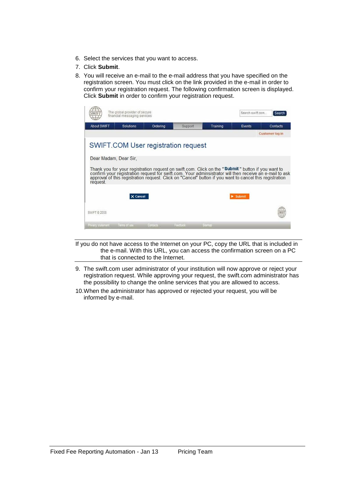- 6. Select the services that you want to access.
- 7. Click **Submit**.
- 8. You will receive an e-mail to the e-mail address that you have specified on the registration screen. You must click on the link provided in the e-mail in order to confirm your registration request. The following confirmation screen is displayed. Click **Submit** in order to confirm your registration request.

| <b>About SWIFT</b>                | <b>Solutions</b> | Ordering                            | Support | Training | Events                                                                                                                                                                                                                               | Contacts        |
|-----------------------------------|------------------|-------------------------------------|---------|----------|--------------------------------------------------------------------------------------------------------------------------------------------------------------------------------------------------------------------------------------|-----------------|
|                                   |                  |                                     |         |          |                                                                                                                                                                                                                                      | Customer log in |
|                                   |                  | SWIFT.COM User registration request |         |          |                                                                                                                                                                                                                                      |                 |
|                                   |                  |                                     |         |          |                                                                                                                                                                                                                                      |                 |
|                                   |                  |                                     |         |          |                                                                                                                                                                                                                                      |                 |
|                                   |                  |                                     |         |          |                                                                                                                                                                                                                                      |                 |
|                                   |                  |                                     |         |          |                                                                                                                                                                                                                                      |                 |
|                                   |                  |                                     |         |          | Thank you for your registration request on swift.com. Click on the "Submit" button if you want to<br>confirm your registration request for swift.com. Your adminsistrator will then receive an e-mail to ask<br>approval of this reg |                 |
|                                   |                  |                                     |         |          |                                                                                                                                                                                                                                      |                 |
| Dear Madam, Dear Sir.<br>request. | X Cancel         |                                     |         |          | <b>Submit</b>                                                                                                                                                                                                                        |                 |
|                                   |                  |                                     |         |          |                                                                                                                                                                                                                                      |                 |

If you do not have access to the Internet on your PC, copy the URL that is included in the e-mail. With this URL, you can access the confirmation screen on a PC that is connected to the Internet.

- 9. The swift.com user administrator of your institution will now approve or reject your registration request. While approving your request, the swift.com administrator has the possibility to change the online services that you are allowed to access.
- 10.When the administrator has approved or rejected your request, you will be informed by e-mail.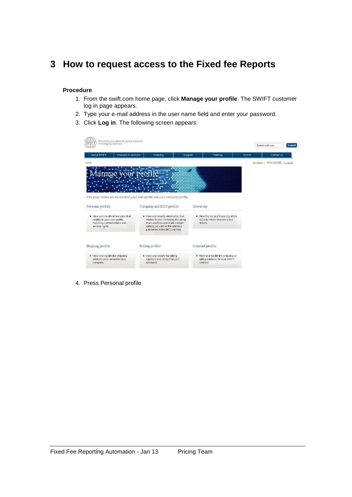### **3 How to request access to the Fixed fee Reports**

### **Procedure**

- 1. From the swift.com home page, click **Manage your profile**. The SWIFT customer log in page appears.
- 2. Type your e-mail address in the user name field and enter your password.
- 3. Click **Log in**. The following screen appears:

| messaging services                                                                 |                                                                             |                                                                     |        | Search swift com<br>Search      |
|------------------------------------------------------------------------------------|-----------------------------------------------------------------------------|---------------------------------------------------------------------|--------|---------------------------------|
| Products & services<br>About SWIFT                                                 | Ordering<br>Support                                                         | Training                                                            | Events | Contact us                      |
| Home                                                                               |                                                                             |                                                                     |        | SWHQBEBB   Logout<br>W. Aerts I |
|                                                                                    |                                                                             |                                                                     |        |                                 |
|                                                                                    |                                                                             |                                                                     |        |                                 |
|                                                                                    |                                                                             |                                                                     |        |                                 |
|                                                                                    |                                                                             |                                                                     |        |                                 |
|                                                                                    | This page allows you to maintain your own profile and your company profile. |                                                                     |        |                                 |
|                                                                                    |                                                                             |                                                                     |        |                                 |
|                                                                                    | Company and BIC8 profile                                                    | Hierarchy                                                           |        |                                 |
| ▶ View and modify information that                                                 | ▶ View and modify information that                                          | ► View the list and hierarchy of the                                |        |                                 |
| Personal profile<br>relates to your user profile,<br>including contact details and | relates to your company, including<br>main address and main contact         | BICs for which you can place<br>orders.                             |        |                                 |
| access rights.                                                                     | details, as well as the address<br>published in the BIC Directory.          |                                                                     |        |                                 |
|                                                                                    |                                                                             |                                                                     |        |                                 |
| Shipping profile                                                                   | Billing profile                                                             | Contract profile                                                    |        |                                 |
| ▶ View and modify the shipping<br>address and contact for your                     | ▶ View and modify the billing<br>address and contact for your               | ▶ View and modify the shipping or<br>billing address for your SWIFT |        |                                 |

4. Press Personal profile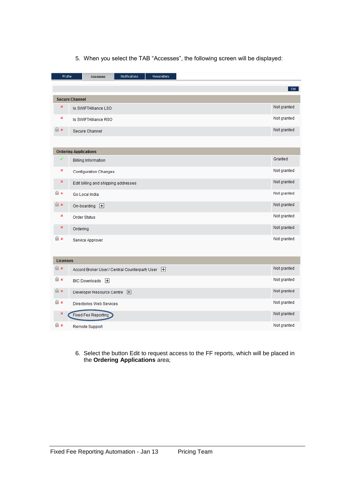| Profile         | Notifications<br>Newsletters<br><b>Accesses</b>    |             |
|-----------------|----------------------------------------------------|-------------|
|                 |                                                    | Edit        |
|                 | <b>Secure Channel</b>                              |             |
| ×               | Is SWIFTAlliance LSO                               | Not granted |
| ×               | Is SWIFTAlliance RSO                               | Not granted |
| $\mathbf{a}$ x  | Secure Channel                                     | Not granted |
|                 |                                                    |             |
|                 | <b>Ordering Applications</b>                       |             |
| ✓               | <b>Billing Information</b>                         | Granted     |
| ×               | <b>Configuration Changes</b>                       | Not granted |
| ×               | Edit billing and shipping addresses                | Not granted |
| <b>n</b>        | Go Local India                                     | Not granted |
| n x             | On-boarding $\Box$                                 | Not granted |
| ×               | <b>Order Status</b>                                | Not granted |
| ×               | Ordering                                           | Not granted |
| 6x              | Service Approver                                   | Not granted |
|                 |                                                    |             |
| <b>Licenses</b> |                                                    |             |
| n x             | Accord Broker User / Central Counterparty User [+] | Not granted |
| n x             | BIC Downloads H                                    | Not granted |
| n x             | Developer Resource Centre +                        | Not granted |
| <b>白×</b>       | Directories Web Services                           | Not granted |
|                 | <b>Fixed Fee Reporting</b>                         | Not granted |
| n x             | <b>Remote Support</b>                              | Not granted |

5. When you select the TAB "Accesses", the following screen will be displayed:

6. Select the button Edit to request access to the FF reports, which will be placed in the **Ordering Applications** area;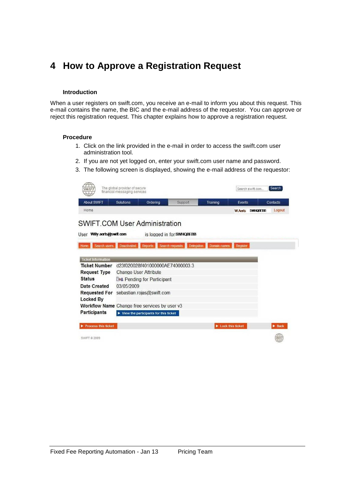### **4 How to Approve a Registration Request**

#### **Introduction**

When a user registers on swift.com, you receive an e-mail to inform you about this request. This e-mail contains the name, the BIC and the e-mail address of the requestor. You can approve or reject this registration request. This chapter explains how to approve a registration request.

#### **Procedure**

- 1. Click on the link provided in the e-mail in order to access the swift.com user administration tool.
- 2. If you are not yet logged on, enter your swift.com user name and password.
- 3. The following screen is displayed, showing the e-mail address of the requestor:

|                                                                                                                          | The global provider of secure<br>financial messaging services |                                                             |                                      |                                        |          | Search swift.com | Search                     |
|--------------------------------------------------------------------------------------------------------------------------|---------------------------------------------------------------|-------------------------------------------------------------|--------------------------------------|----------------------------------------|----------|------------------|----------------------------|
| <b>About SWIFT</b>                                                                                                       | Solutions                                                     | Ordering                                                    | Support                              | Training                               | Events   |                  | Contacts                   |
| Home                                                                                                                     |                                                               |                                                             |                                      |                                        |          | W Aerls SWHORFRB | Logout                     |
| <b>SWIFT.COM User Administration</b>                                                                                     |                                                               |                                                             |                                      |                                        |          |                  |                            |
|                                                                                                                          |                                                               |                                                             |                                      |                                        |          |                  |                            |
| Willy aerts@swift.com<br>User                                                                                            |                                                               |                                                             | is logged in for SWHQBEBB            |                                        |          |                  |                            |
| Search users<br>Home                                                                                                     | Deactivated                                                   | <b>Reports</b>                                              | Search requests<br><b>Delegation</b> | <b>Domain names</b>                    | Register |                  |                            |
|                                                                                                                          |                                                               |                                                             |                                      |                                        |          |                  |                            |
| <b>Ticket Information</b>                                                                                                |                                                               |                                                             |                                      |                                        |          |                  |                            |
|                                                                                                                          |                                                               |                                                             |                                      |                                        |          |                  |                            |
|                                                                                                                          | d23f020028f401000000AF740000033                               |                                                             |                                      |                                        |          |                  |                            |
|                                                                                                                          | <b>Change User Attribute</b>                                  |                                                             |                                      |                                        |          |                  |                            |
|                                                                                                                          |                                                               |                                                             |                                      |                                        |          |                  |                            |
|                                                                                                                          | 03/05/2009                                                    | <b>Box</b> Pending for Participant                          |                                      |                                        |          |                  |                            |
|                                                                                                                          |                                                               |                                                             |                                      |                                        |          |                  |                            |
|                                                                                                                          |                                                               | sebastian.rojas@swift.com                                   |                                      |                                        |          |                  |                            |
| <b>Ticket Number</b><br><b>Request Type</b><br><b>Status</b><br>Date Created<br><b>Requested For</b><br><b>Locked By</b> |                                                               |                                                             |                                      |                                        |          |                  |                            |
| Workflow Name Change free services by user v3<br>Participants                                                            |                                                               | $\blacktriangleright$ View the participants for this ticket |                                      |                                        |          |                  |                            |
|                                                                                                                          |                                                               |                                                             |                                      |                                        |          |                  |                            |
| Process this ticket                                                                                                      |                                                               |                                                             |                                      | $\blacktriangleright$ Lock this ticket |          |                  | $\blacktriangleright$ Back |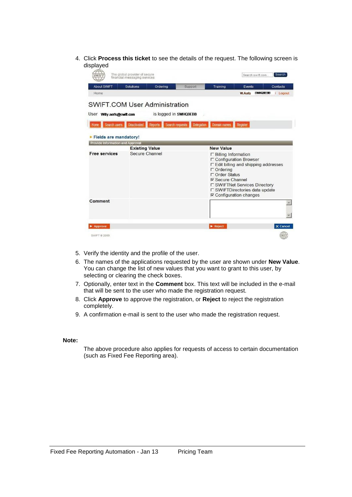4. Click **Process this ticket** to see the details of the request. The following screen is displayed

|                                         | The global provider of secure<br>financial messaging services |                       |                                      |                                                                                                | Search swift.com                                                                                                                                                      | Search      |
|-----------------------------------------|---------------------------------------------------------------|-----------------------|--------------------------------------|------------------------------------------------------------------------------------------------|-----------------------------------------------------------------------------------------------------------------------------------------------------------------------|-------------|
| <b>About SWIFT</b>                      | <b>Solutions</b>                                              | Ordering              | Support                              | Training                                                                                       | Events                                                                                                                                                                | Contacts    |
| Home                                    |                                                               |                       |                                      |                                                                                                | <b>SWHOBERB</b><br><b>W Aeris</b>                                                                                                                                     | Logout      |
| <b>SWIFT.COM User Administration</b>    |                                                               |                       |                                      |                                                                                                |                                                                                                                                                                       |             |
| User Willy.aerts@swift.com              |                                                               | is logged in SWHQBEBB |                                      |                                                                                                |                                                                                                                                                                       |             |
| Search users<br>Home                    | <b>Deactivated</b>                                            | <b>Reports</b>        | <b>Search requests</b><br>Delegation | <b>Domain names</b>                                                                            | Register                                                                                                                                                              |             |
|                                         |                                                               |                       |                                      |                                                                                                |                                                                                                                                                                       |             |
| Fields are mandatory!                   |                                                               |                       |                                      |                                                                                                |                                                                                                                                                                       |             |
| <b>Provide Information and Approval</b> |                                                               |                       |                                      |                                                                                                |                                                                                                                                                                       |             |
|                                         | <b>Existing Value</b>                                         |                       |                                      | <b>New Value</b>                                                                               |                                                                                                                                                                       |             |
| <b>Free services</b>                    | Secure Channel                                                |                       |                                      | $\Gamma$ Billing Information<br>$\Gamma$ Ordering<br>□ Order Status<br><b>⊽ Secure Channel</b> | □ Configuration Browser<br>□ Edit billing and shipping addresses<br>□ SWIFTNet Services Directory<br>□ SWIFTDirectories data update<br>$\nabla$ Configuration changes |             |
| Comment                                 |                                                               |                       |                                      |                                                                                                |                                                                                                                                                                       |             |
| Approve                                 |                                                               |                       |                                      | $\blacktriangleright$ Reject                                                                   |                                                                                                                                                                       | X Cancel    |
| SWIFT @ 2009                            |                                                               |                       |                                      |                                                                                                |                                                                                                                                                                       | <b>SWIF</b> |

- 5. Verify the identity and the profile of the user.
- 6. The names of the applications requested by the user are shown under **New Value**. You can change the list of new values that you want to grant to this user, by selecting or clearing the check boxes.
- 7. Optionally, enter text in the **Comment** box. This text will be included in the e-mail that will be sent to the user who made the registration request.
- 8. Click **Approve** to approve the registration, or **Reject** to reject the registration completely.
- 9. A confirmation e-mail is sent to the user who made the registration request.

#### **Note:**

The above procedure also applies for requests of access to certain documentation (such as Fixed Fee Reporting area).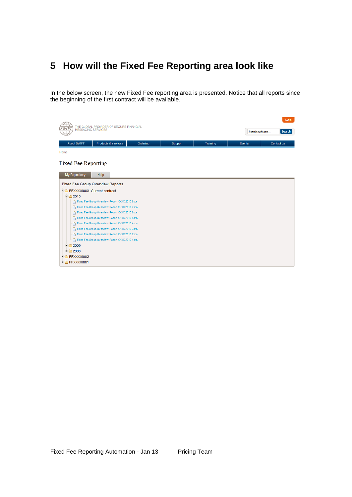### **5 How will the Fixed Fee Reporting area look like**

In the below screen, the new Fixed Fee reporting area is presented. Notice that all reports since the beginning of the first contract will be available.

| THE GLOBAL PROVIDER OF SECURE FINANCIAL<br><b>MESSAGING SERVICES</b> | Login<br>Search<br>Search swift.com             |          |         |          |               |            |
|----------------------------------------------------------------------|-------------------------------------------------|----------|---------|----------|---------------|------------|
| <b>About SWIFT</b>                                                   | Products & services                             | Ordering | Support | Training | <b>Events</b> | Contact us |
| Home                                                                 |                                                 |          |         |          |               |            |
| Fixed Fee Reporting<br>My Repository                                 | Help                                            |          |         |          |               |            |
|                                                                      | <b>Fixed Fee Group Overview Reports</b>         |          |         |          |               |            |
| FFXXXX0003- Current contract                                         |                                                 |          |         |          |               |            |
| $-$ 2010                                                             |                                                 |          |         |          |               |            |
|                                                                      | Fixed Fee Group Overview Report XXXX 2010 8.xls |          |         |          |               |            |
|                                                                      | Fixed Fee Group Overview Report XXXX 2010 7.xls |          |         |          |               |            |
|                                                                      | Fixed Fee Group Overview Report XXXX 2010 6.xls |          |         |          |               |            |
|                                                                      | Fixed Fee Group Overview Report XXXX 2010 5.xls |          |         |          |               |            |
|                                                                      | Fixed Fee Group Overview Report XXXX 2010 4.xls |          |         |          |               |            |
|                                                                      | Fixed Fee Group Overview Report XXXX 2010 3.xls |          |         |          |               |            |
|                                                                      | Fixed Fee Group Overview Report XXXX 2010 2.xls |          |         |          |               |            |
|                                                                      | Fixed Fee Group Overview Report XXXX 2010 1.xls |          |         |          |               |            |
| $+$ $\bigcirc$ 2009                                                  |                                                 |          |         |          |               |            |
| $+$ 2008                                                             |                                                 |          |         |          |               |            |
| + FFXXXX0002                                                         |                                                 |          |         |          |               |            |
| $F$ FFXXXX0001                                                       |                                                 |          |         |          |               |            |